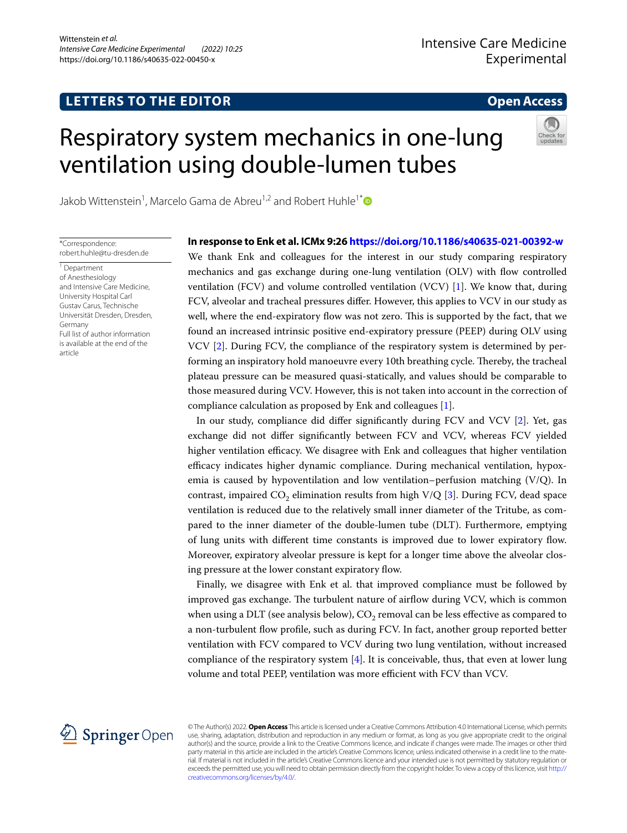## **LETTERS TO THE EDITOR**

**Open Access**

# Respiratory system mechanics in one‑lung ventilation using double‑lumen tubes



Jakob Wittenstein<sup>1</sup>, Marcelo Gama de Abreu<sup>1,2</sup> and Robert Huhle<sup>1\*</sup><sup>®</sup>

\*Correspondence: robert.huhle@tu-dresden.de

1 Department of Anesthesiology and Intensive Care Medicine, University Hospital Carl Gustav Carus, Technische Universität Dresden, Dresden, Germany Full list of author information is available at the end of the article

**In response to Enk et al. ICMx 9:26<https://doi.org/10.1186/s40635-021-00392-w>**

We thank Enk and colleagues for the interest in our study comparing respiratory mechanics and gas exchange during one-lung ventilation (OLV) with fow controlled ventilation (FCV) and volume controlled ventilation (VCV) [\[1](#page-4-0)]. We know that, during FCV, alveolar and tracheal pressures difer. However, this applies to VCV in our study as well, where the end-expiratory flow was not zero. This is supported by the fact, that we found an increased intrinsic positive end-expiratory pressure (PEEP) during OLV using VCV [[2\]](#page-4-1). During FCV, the compliance of the respiratory system is determined by performing an inspiratory hold manoeuvre every 10th breathing cycle. Thereby, the tracheal plateau pressure can be measured quasi-statically, and values should be comparable to those measured during VCV. However, this is not taken into account in the correction of compliance calculation as proposed by Enk and colleagues [[1](#page-4-0)].

In our study, compliance did difer signifcantly during FCV and VCV [\[2\]](#page-4-1). Yet, gas exchange did not difer signifcantly between FCV and VCV, whereas FCV yielded higher ventilation efficacy. We disagree with Enk and colleagues that higher ventilation efficacy indicates higher dynamic compliance. During mechanical ventilation, hypoxemia is caused by hypoventilation and low ventilation–perfusion matching (V/Q). In contrast, impaired  $CO<sub>2</sub>$  elimination results from high V/Q [\[3](#page-4-2)]. During FCV, dead space ventilation is reduced due to the relatively small inner diameter of the Tritube, as compared to the inner diameter of the double-lumen tube (DLT). Furthermore, emptying of lung units with diferent time constants is improved due to lower expiratory fow. Moreover, expiratory alveolar pressure is kept for a longer time above the alveolar closing pressure at the lower constant expiratory fow.

Finally, we disagree with Enk et al. that improved compliance must be followed by improved gas exchange. The turbulent nature of airflow during VCV, which is common when using a DLT (see analysis below),  $CO_2$  removal can be less effective as compared to a non-turbulent fow profle, such as during FCV. In fact, another group reported better ventilation with FCV compared to VCV during two lung ventilation, without increased compliance of the respiratory system [[4\]](#page-4-3). It is conceivable, thus, that even at lower lung volume and total PEEP, ventilation was more efficient with FCV than VCV.



© The Author(s) 2022. **Open Access** This article is licensed under a Creative Commons Attribution 4.0 International License, which permits use, sharing, adaptation, distribution and reproduction in any medium or format, as long as you give appropriate credit to the original author(s) and the source, provide a link to the Creative Commons licence, and indicate if changes were made. The images or other third party material in this article are included in the article's Creative Commons licence, unless indicated otherwise in a credit line to the material. If material is not included in the article's Creative Commons licence and your intended use is not permitted by statutory regulation or exceeds the permitted use, you will need to obtain permission directly from the copyright holder. To view a copy of this licence, visit [http://](http://creativecommons.org/licenses/by/4.0/) [creativecommons.org/licenses/by/4.0/.](http://creativecommons.org/licenses/by/4.0/)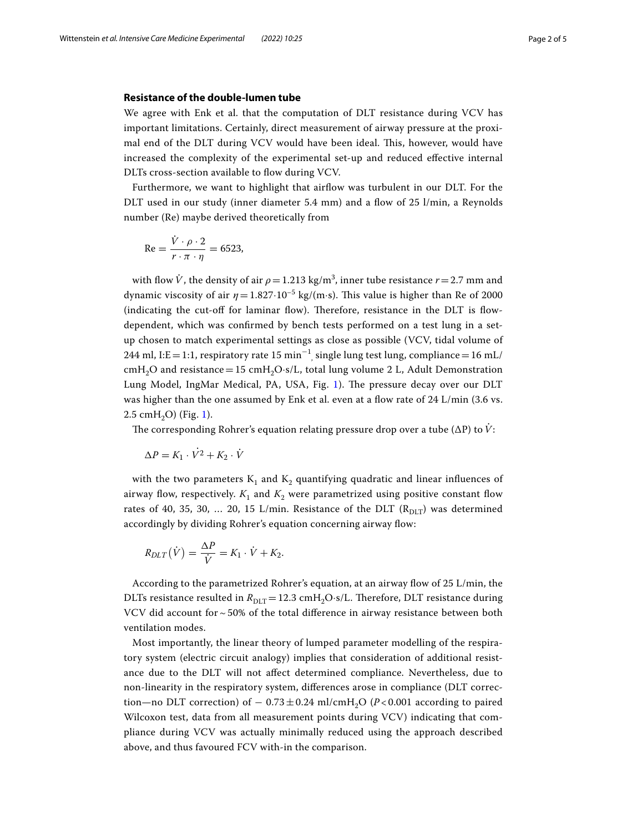## **Resistance of the double-lumen tube**

We agree with Enk et al. that the computation of DLT resistance during VCV has important limitations. Certainly, direct measurement of airway pressure at the proximal end of the DLT during VCV would have been ideal. This, however, would have increased the complexity of the experimental set-up and reduced efective internal DLTs cross-section available to flow during VCV.

Furthermore, we want to highlight that airfow was turbulent in our DLT. For the DLT used in our study (inner diameter 5.4 mm) and a fow of 25 l/min, a Reynolds number (Re) maybe derived theoretically from

$$
\text{Re} = \frac{\dot{V} \cdot \rho \cdot 2}{r \cdot \pi \cdot \eta} = 6523,
$$

with flow  $\dot{V}$ , the density of air  $\rho = 1.213$  kg/m<sup>3</sup>, inner tube resistance  $r = 2.7$  mm and dynamic viscosity of air  $\eta = 1.827 \cdot 10^{-5}$  kg/(m·s). This value is higher than Re of 2000 (indicating the cut-off for laminar flow). Therefore, resistance in the DLT is flowdependent, which was confrmed by bench tests performed on a test lung in a setup chosen to match experimental settings as close as possible (VCV, tidal volume of 244 ml, I:E = 1:1, respiratory rate 15  $\text{min}^{-1}$ , single lung test lung, compliance = 16 mL/  $cmH_2O$  and resistance = 15  $cmH_2O·s/L$ , total lung volume 2 L, Adult Demonstration Lung Model, IngMar Medical, PA, USA, Fig. [1\)](#page-2-0). The pressure decay over our DLT was higher than the one assumed by Enk et al. even at a flow rate of 24 L/min (3.6 vs.  $2.5 \text{ cmH}_2\text{O}$  (Fig. [1\)](#page-2-0).

The corresponding Rohrer's equation relating pressure drop over a tube ( $\Delta P$ ) to  $\dot{V}$ :

$$
\Delta P = K_1 \cdot \dot{V}^2 + K_2 \cdot \dot{V}
$$

with the two parameters  $K_1$  and  $K_2$  quantifying quadratic and linear influences of airway flow, respectively.  $K_1$  and  $K_2$  were parametrized using positive constant flow rates of 40, 35, 30, ... 20, 15 L/min. Resistance of the DLT  $(R<sub>DLT</sub>)$  was determined accordingly by dividing Rohrer's equation concerning airway flow:

$$
R_{DLT}(\dot{V}) = \frac{\Delta P}{\dot{V}} = K_1 \cdot \dot{V} + K_2.
$$

According to the parametrized Rohrer's equation, at an airway fow of 25 L/min, the DLTs resistance resulted in  $R_{\text{DLT}}=12.3 \text{ cm}H_2O\text{-}s/L$ . Therefore, DLT resistance during VCV did account for  $\sim$  50% of the total difference in airway resistance between both ventilation modes.

Most importantly, the linear theory of lumped parameter modelling of the respiratory system (electric circuit analogy) implies that consideration of additional resistance due to the DLT will not afect determined compliance. Nevertheless, due to non-linearity in the respiratory system, diferences arose in compliance (DLT correction—no DLT correction) of  $-0.73 \pm 0.24$  ml/cmH<sub>2</sub>O (*P* < 0.001 according to paired Wilcoxon test, data from all measurement points during VCV) indicating that compliance during VCV was actually minimally reduced using the approach described above, and thus favoured FCV with-in the comparison.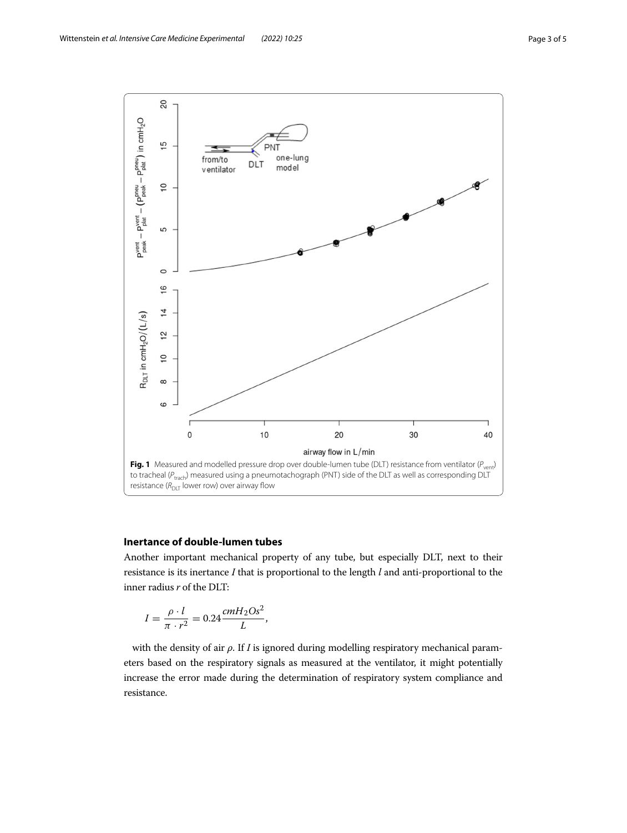

## <span id="page-2-0"></span>**Inertance of double-lumen tubes**

Another important mechanical property of any tube, but especially DLT, next to their resistance is its inertance *I* that is proportional to the length *l* and anti-proportional to the inner radius *r* of the DLT:

$$
I = \frac{\rho \cdot l}{\pi \cdot r^2} = 0.24 \frac{cmH_2Os^2}{L},
$$

with the density of air *ρ*. If *I* is ignored during modelling respiratory mechanical parameters based on the respiratory signals as measured at the ventilator, it might potentially increase the error made during the determination of respiratory system compliance and resistance.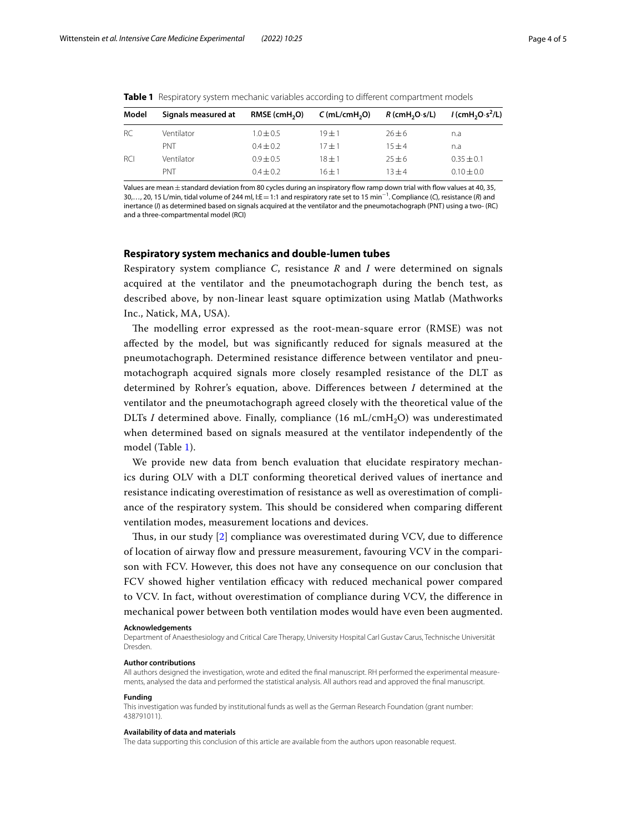| Model      | Signals measured at | $RMSE$ (cmH <sub>2</sub> O) | $C$ (mL/cmH <sub>2</sub> O) | $R$ (cmH <sub>2</sub> O·s/L) | $I$ (cmH <sub>2</sub> O·s <sup>2</sup> /L) |
|------------|---------------------|-----------------------------|-----------------------------|------------------------------|--------------------------------------------|
| RC.        | Ventilator          | $1.0 \pm 0.5$               | $19 + 1$                    | $26 + 6$                     | n.a                                        |
|            | PNT                 | $0.4 + 0.2$                 | $17 + 1$                    | $15 + 4$                     | n.a                                        |
| <b>RCI</b> | Ventilator          | $0.9 + 0.5$                 | $18 + 1$                    | $25 + 6$                     | $0.35 + 0.1$                               |
|            | PNT                 | $0.4 + 0.2$                 | $16 + 1$                    | $13 + 4$                     | $0.10 \pm 0.0$                             |
|            |                     |                             |                             |                              |                                            |

<span id="page-3-0"></span>**Table 1** Respiratory system mechanic variables according to diferent compartment models

Values are mean ± standard deviation from 80 cycles during an inspiratory flow ramp down trial with flow values at 40, 35, 30,…, 20, 15 L/min, tidal volume of 244 ml, I:E=1:1 and respiratory rate set to 15 min−<sup>1</sup> . Compliance (*C*), resistance (*R*) and inertance (*I*) as determined based on signals acquired at the ventilator and the pneumotachograph (PNT) using a two- (RC) and a three-compartmental model (RCI)

## **Respiratory system mechanics and double-lumen tubes**

Respiratory system compliance *C*, resistance *R* and *I* were determined on signals acquired at the ventilator and the pneumotachograph during the bench test, as described above, by non-linear least square optimization using Matlab (Mathworks Inc., Natick, MA, USA).

The modelling error expressed as the root-mean-square error (RMSE) was not afected by the model, but was signifcantly reduced for signals measured at the pneumotachograph. Determined resistance diference between ventilator and pneumotachograph acquired signals more closely resampled resistance of the DLT as determined by Rohrer's equation, above. Diferences between *I* determined at the ventilator and the pneumotachograph agreed closely with the theoretical value of the DLTs *I* determined above. Finally, compliance (16 mL/cmH<sub>2</sub>O) was underestimated when determined based on signals measured at the ventilator independently of the model (Table [1](#page-3-0)).

We provide new data from bench evaluation that elucidate respiratory mechanics during OLV with a DLT conforming theoretical derived values of inertance and resistance indicating overestimation of resistance as well as overestimation of compliance of the respiratory system. This should be considered when comparing different ventilation modes, measurement locations and devices.

Thus, in our study  $[2]$  $[2]$  compliance was overestimated during VCV, due to difference of location of airway fow and pressure measurement, favouring VCV in the comparison with FCV. However, this does not have any consequence on our conclusion that FCV showed higher ventilation efficacy with reduced mechanical power compared to VCV. In fact, without overestimation of compliance during VCV, the diference in mechanical power between both ventilation modes would have even been augmented.

#### **Acknowledgements**

Department of Anaesthesiology and Critical Care Therapy, University Hospital Carl Gustav Carus, Technische Universität Dresden.

#### **Author contributions**

All authors designed the investigation, wrote and edited the fnal manuscript. RH performed the experimental measurements, analysed the data and performed the statistical analysis. All authors read and approved the fnal manuscript.

#### **Funding**

This investigation was funded by institutional funds as well as the German Research Foundation (grant number: 438791011).

#### **Availability of data and materials**

The data supporting this conclusion of this article are available from the authors upon reasonable request.